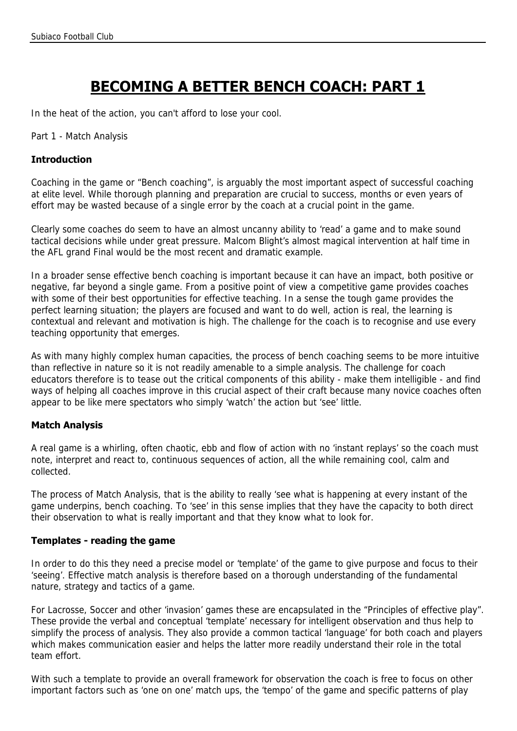# **BECOMING A BETTER BENCH COACH: PART 1**

In the heat of the action, you can't afford to lose your cool.

Part 1 - Match Analysis

## **Introduction**

Coaching in the game or "Bench coaching", is arguably the most important aspect of successful coaching at elite level. While thorough planning and preparation are crucial to success, months or even years of effort may be wasted because of a single error by the coach at a crucial point in the game.

Clearly some coaches do seem to have an almost uncanny ability to 'read' a game and to make sound tactical decisions while under great pressure. Malcom Blight's almost magical intervention at half time in the AFL grand Final would be the most recent and dramatic example.

In a broader sense effective bench coaching is important because it can have an impact, both positive or negative, far beyond a single game. From a positive point of view a competitive game provides coaches with some of their best opportunities for effective teaching. In a sense the tough game provides the perfect learning situation; the players are focused and want to do well, action is real, the learning is contextual and relevant and motivation is high. The challenge for the coach is to recognise and use every teaching opportunity that emerges.

As with many highly complex human capacities, the process of bench coaching seems to be more intuitive than reflective in nature so it is not readily amenable to a simple analysis. The challenge for coach educators therefore is to tease out the critical components of this ability - make them intelligible - and find ways of helping all coaches improve in this crucial aspect of their craft because many novice coaches often appear to be like mere spectators who simply 'watch' the action but 'see' little.

# **Match Analysis**

A real game is a whirling, often chaotic, ebb and flow of action with no 'instant replays' so the coach must note, interpret and react to, continuous sequences of action, all the while remaining cool, calm and collected.

The process of Match Analysis, that is the ability to really 'see what is happening at every instant of the game underpins, bench coaching. To 'see' in this sense implies that they have the capacity to both direct their observation to what is really important and that they know what to look for.

## **Templates - reading the game**

In order to do this they need a precise model or 'template' of the game to give purpose and focus to their 'seeing'. Effective match analysis is therefore based on a thorough understanding of the fundamental nature, strategy and tactics of a game.

For Lacrosse, Soccer and other 'invasion' games these are encapsulated in the "Principles of effective play". These provide the verbal and conceptual 'template' necessary for intelligent observation and thus help to simplify the process of analysis. They also provide a common tactical 'language' for both coach and players which makes communication easier and helps the latter more readily understand their role in the total team effort.

With such a template to provide an overall framework for observation the coach is free to focus on other important factors such as 'one on one' match ups, the 'tempo' of the game and specific patterns of play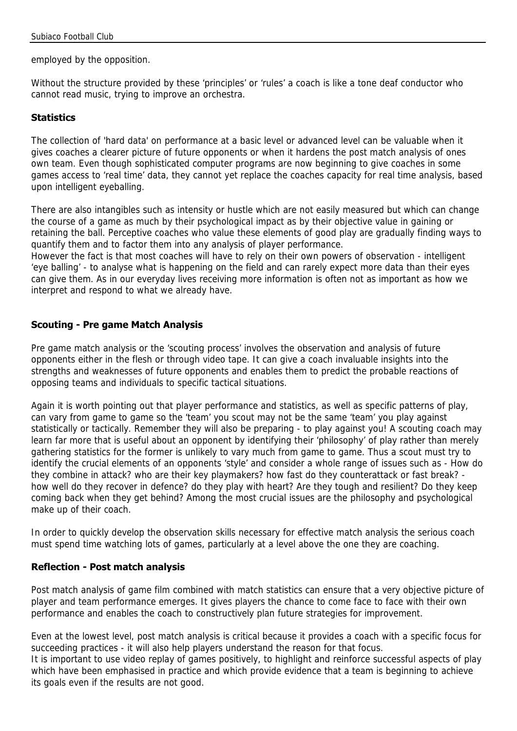employed by the opposition.

Without the structure provided by these 'principles' or 'rules' a coach is like a tone deaf conductor who cannot read music, trying to improve an orchestra.

## **Statistics**

The collection of 'hard data' on performance at a basic level or advanced level can be valuable when it gives coaches a clearer picture of future opponents or when it hardens the post match analysis of ones own team. Even though sophisticated computer programs are now beginning to give coaches in some games access to 'real time' data, they cannot yet replace the coaches capacity for real time analysis, based upon intelligent eyeballing.

There are also intangibles such as intensity or hustle which are not easily measured but which can change the course of a game as much by their psychological impact as by their objective value in gaining or retaining the ball. Perceptive coaches who value these elements of good play are gradually finding ways to quantify them and to factor them into any analysis of player performance.

However the fact is that most coaches will have to rely on their own powers of observation - intelligent 'eye balling' - to analyse what is happening on the field and can rarely expect more data than their eyes can give them. As in our everyday lives receiving more information is often not as important as how we interpret and respond to what we already have.

## **Scouting - Pre game Match Analysis**

Pre game match analysis or the 'scouting process' involves the observation and analysis of future opponents either in the flesh or through video tape. It can give a coach invaluable insights into the strengths and weaknesses of future opponents and enables them to predict the probable reactions of opposing teams and individuals to specific tactical situations.

Again it is worth pointing out that player performance and statistics, as well as specific patterns of play, can vary from game to game so the 'team' you scout may not be the same 'team' you play against statistically or tactically. Remember they will also be preparing - to play against you! A scouting coach may learn far more that is useful about an opponent by identifying their 'philosophy' of play rather than merely gathering statistics for the former is unlikely to vary much from game to game. Thus a scout must try to identify the crucial elements of an opponents 'style' and consider a whole range of issues such as - How do they combine in attack? who are their key playmakers? how fast do they counterattack or fast break? how well do they recover in defence? do they play with heart? Are they tough and resilient? Do they keep coming back when they get behind? Among the most crucial issues are the philosophy and psychological make up of their coach.

In order to quickly develop the observation skills necessary for effective match analysis the serious coach must spend time watching lots of games, particularly at a level above the one they are coaching.

## **Reflection - Post match analysis**

Post match analysis of game film combined with match statistics can ensure that a very objective picture of player and team performance emerges. It gives players the chance to come face to face with their own performance and enables the coach to constructively plan future strategies for improvement.

Even at the lowest level, post match analysis is critical because it provides a coach with a specific focus for succeeding practices - it will also help players understand the reason for that focus.

It is important to use video replay of games positively, to highlight and reinforce successful aspects of play which have been emphasised in practice and which provide evidence that a team is beginning to achieve its goals even if the results are not good.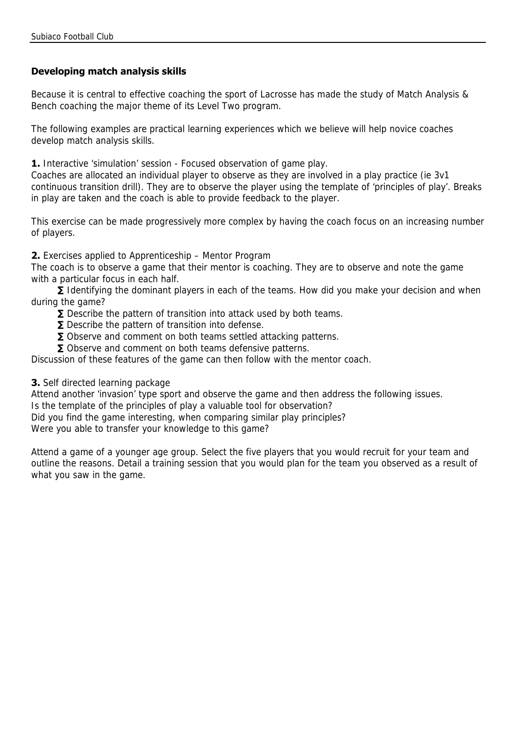# **Developing match analysis skills**

Because it is central to effective coaching the sport of Lacrosse has made the study of Match Analysis & Bench coaching the major theme of its Level Two program.

The following examples are practical learning experiences which we believe will help novice coaches develop match analysis skills.

**1.** Interactive 'simulation' session - Focused observation of game play.

Coaches are allocated an individual player to observe as they are involved in a play practice (ie 3v1 continuous transition drill). They are to observe the player using the template of 'principles of play'. Breaks in play are taken and the coach is able to provide feedback to the player.

This exercise can be made progressively more complex by having the coach focus on an increasing number of players.

**2.** Exercises applied to Apprenticeship – Mentor Program

The coach is to observe a game that their mentor is coaching. They are to observe and note the game with a particular focus in each half.

**∑** Identifying the dominant players in each of the teams. How did you make your decision and when during the game?

- **∑** Describe the pattern of transition into attack used by both teams.
- **∑** Describe the pattern of transition into defense.
- **∑** Observe and comment on both teams settled attacking patterns.
- **∑** Observe and comment on both teams defensive patterns.

Discussion of these features of the game can then follow with the mentor coach.

## **3.** Self directed learning package

Attend another 'invasion' type sport and observe the game and then address the following issues.

Is the template of the principles of play a valuable tool for observation?

Did you find the game interesting, when comparing similar play principles?

Were you able to transfer your knowledge to this game?

Attend a game of a younger age group. Select the five players that you would recruit for your team and outline the reasons. Detail a training session that you would plan for the team you observed as a result of what you saw in the game.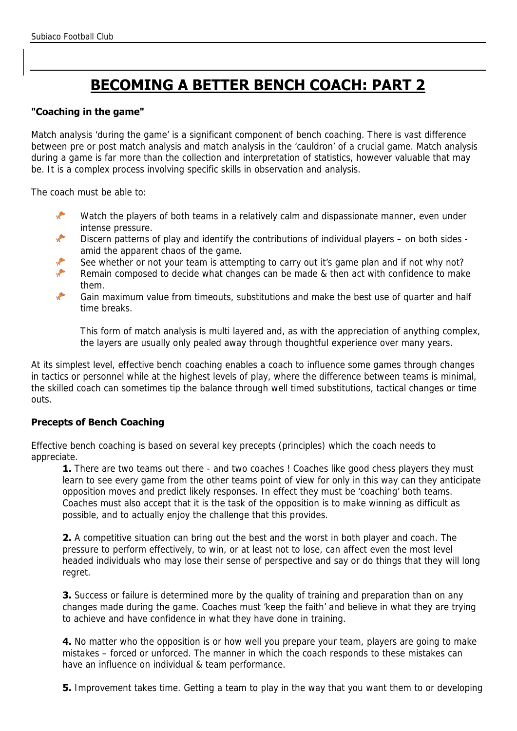# **BECOMING A BETTER BENCH COACH: PART 2**

## **"Coaching in the game"**

Match analysis 'during the game' is a significant component of bench coaching. There is vast difference between pre or post match analysis and match analysis in the 'cauldron' of a crucial game. Match analysis during a game is far more than the collection and interpretation of statistics, however valuable that may be. It is a complex process involving specific skills in observation and analysis.

The coach must be able to:

- $\cdot$ Watch the players of both teams in a relatively calm and dispassionate manner, even under intense pressure.
- Discern patterns of play and identify the contributions of individual players on both sides amid the apparent chaos of the game.
- See whether or not your team is attempting to carry out it's game plan and if not why not?
- جي Remain composed to decide what changes can be made & then act with confidence to make them.
- Gain maximum value from timeouts, substitutions and make the best use of quarter and half time breaks.

This form of match analysis is multi layered and, as with the appreciation of anything complex, the layers are usually only pealed away through thoughtful experience over many years.

At its simplest level, effective bench coaching enables a coach to influence some games through changes in tactics or personnel while at the highest levels of play, where the difference between teams is minimal, the skilled coach can sometimes tip the balance through well timed substitutions, tactical changes or time outs.

# **Precepts of Bench Coaching**

Effective bench coaching is based on several key precepts (principles) which the coach needs to appreciate.

**1.** There are two teams out there - and two coaches ! Coaches like good chess players they must learn to see every game from the other teams point of view for only in this way can they anticipate opposition moves and predict likely responses. In effect they must be 'coaching' both teams. Coaches must also accept that it is the task of the opposition is to make winning as difficult as possible, and to actually enjoy the challenge that this provides.

**2.** A competitive situation can bring out the best and the worst in both player and coach. The pressure to perform effectively, to win, or at least not to lose, can affect even the most level headed individuals who may lose their sense of perspective and say or do things that they will long regret.

**3.** Success or failure is determined more by the quality of training and preparation than on any changes made during the game. Coaches must 'keep the faith' and believe in what they are trying to achieve and have confidence in what they have done in training.

**4.** No matter who the opposition is or how well you prepare your team, players are going to make mistakes – forced or unforced. The manner in which the coach responds to these mistakes can have an influence on individual & team performance.

**5.** Improvement takes time. Getting a team to play in the way that you want them to or developing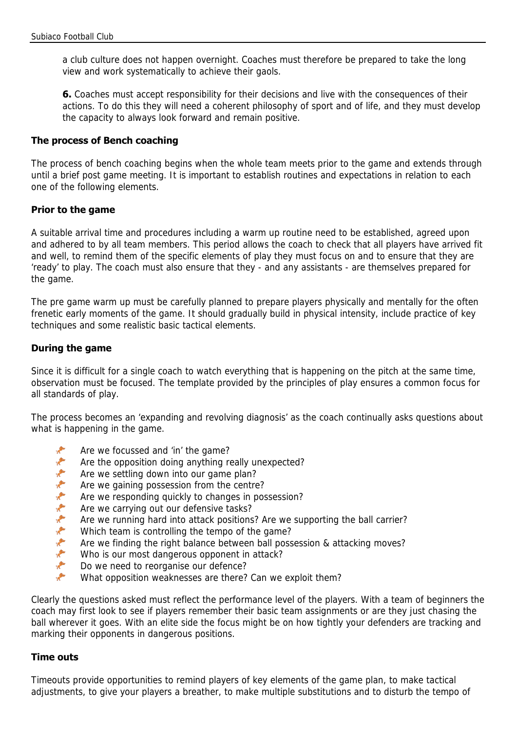a club culture does not happen overnight. Coaches must therefore be prepared to take the long view and work systematically to achieve their gaols.

**6.** Coaches must accept responsibility for their decisions and live with the consequences of their actions. To do this they will need a coherent philosophy of sport and of life, and they must develop the capacity to always look forward and remain positive.

## **The process of Bench coaching**

The process of bench coaching begins when the whole team meets prior to the game and extends through until a brief post game meeting. It is important to establish routines and expectations in relation to each one of the following elements.

## **Prior to the game**

A suitable arrival time and procedures including a warm up routine need to be established, agreed upon and adhered to by all team members. This period allows the coach to check that all players have arrived fit and well, to remind them of the specific elements of play they must focus on and to ensure that they are 'ready' to play. The coach must also ensure that they - and any assistants - are themselves prepared for the game.

The pre game warm up must be carefully planned to prepare players physically and mentally for the often frenetic early moments of the game. It should gradually build in physical intensity, include practice of key techniques and some realistic basic tactical elements.

## **During the game**

Since it is difficult for a single coach to watch everything that is happening on the pitch at the same time, observation must be focused. The template provided by the principles of play ensures a common focus for all standards of play.

The process becomes an 'expanding and revolving diagnosis' as the coach continually asks questions about what is happening in the game.

- $\mathcal{L}$ Are we focussed and 'in' the game?
- $\mathcal{F}$ Are the opposition doing anything really unexpected?
- $\mathcal{E}$ Are we settling down into our game plan?
- Are we gaining possession from the centre?
- $\mathcal{P}$ Are we responding quickly to changes in possession?
- $\mathcal{E}$ Are we carrying out our defensive tasks?
- Are we running hard into attack positions? Are we supporting the ball carrier?
- حي Which team is controlling the tempo of the game?
- Are we finding the right balance between ball possession & attacking moves?
- $\mathcal{L}$ Who is our most dangerous opponent in attack?
- **SER** Do we need to reorganise our defence?
- $\mathcal{P}$ What opposition weaknesses are there? Can we exploit them?

Clearly the questions asked must reflect the performance level of the players. With a team of beginners the coach may first look to see if players remember their basic team assignments or are they just chasing the ball wherever it goes. With an elite side the focus might be on how tightly your defenders are tracking and marking their opponents in dangerous positions.

## **Time outs**

Timeouts provide opportunities to remind players of key elements of the game plan, to make tactical adjustments, to give your players a breather, to make multiple substitutions and to disturb the tempo of